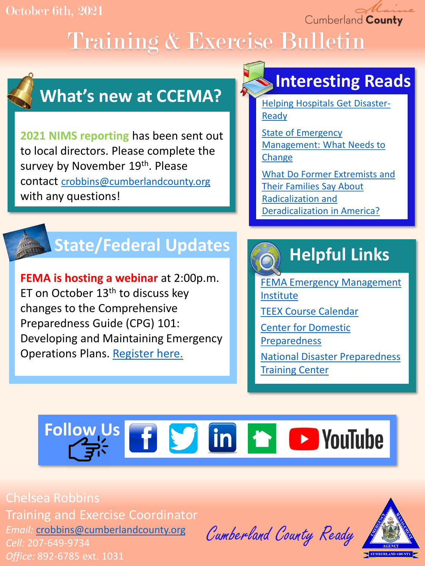#### October 6th, 2021

Cumberland County

# Training & Exercise Bulletin



## **What's new at CCEMA?**

**2021 NIMS reporting** has been sent out to local directors. Please complete the survey by November 19th. Please contact [crobbins@cumberlandcounty.org](mailto:crobbins@cumberlandcounty.org) with any questions!

## **Interesting Reads**

[Helping Hospitals Get Disaster-](https://www.usnews.com/news/health-news/articles/2021-10-05/helping-hospitals-get-disaster-ready)Ready

State of Emergency [Management: What Needs to](https://www.hstoday.us/911/state-of-emergency-management-what-needs-to-change/)  **Change** 

[What Do Former Extremists and](https://www.rand.org/pubs/research_briefs/RBA1071-1.html) Their Families Say About Radicalization and Deradicalization in America?

## **State/Federal Updates**

**FEMA is hosting a webinar** at 2:00p.m. ET on October  $13<sup>th</sup>$  to discuss key changes to the Comprehensive Preparedness Guide (CPG) 101: Developing and Maintaining Emergency Operations Plans. [Register here.](https://www.fema.gov/event/comprehensive-preparedness-guide-cpg-101-webinar-3)

## **Helpful Links**

[FEMA Emergency Management](https://training.fema.gov/is/) Institute [TEEX Course Calendar](https://teex.org/course-calendar/) [Center for Domestic](https://cdp.dhs.gov/)  Preparedness

[National Disaster Preparedness](https://ndptc.hawaii.edu/training/)  Training Center

# **Follow Us f S** in **h D** YouTube

Chelsea Robbins Training and Exercise Coordinator *Email:* [crobbins@cumberlandcounty.org](mailto:crobbins@cumberlandcounty.org) *Cell:* 207-649-9734

*Office:* 892-6785 ext. 1031

Cumberland County Ready